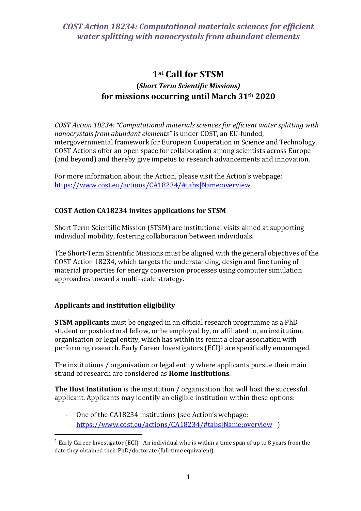# **1st Call for STSM (***Short Term Scientific Missions)* **for missions occurring until March 31th 2020**

*COST Action 18234: "Computational materials sciences for efficient water splitting with nanocrystals from abundant elements"* is under COST, an EU-funded, intergovernmental framework for European Cooperation in Science and Technology. COST Actions offer an open space for collaboration among scientists across Europe (and beyond) and thereby give impetus to research advancements and innovation.

For more information about the Action, please visit the Action's webpage: <https://www.cost.eu/actions/CA18234/#tabs|Name:overview>

### **COST Action CA18234 invites applications for STSM**

Short Term Scientific Mission (STSM) are institutional visits aimed at supporting individual mobility, fostering collaboration between individuals.

The Short-Term Scientific Missions must be aligned with the general objectives of the COST Action 18234, which targets the understanding, design and fine tuning of material properties for energy conversion processes using computer simulation approaches toward a multi-scale strategy.

### **Applicants and institution eligibility**

 $\overline{\phantom{a}}$ 

**STSM applicants** must be engaged in an official research programme as a PhD student or postdoctoral fellow, or be employed by, or affiliated to, an institution, organisation or legal entity, which has within its remit a clear association with performing research. Early Career Investigators (ECI)<sup>1</sup> are specifically encouraged.

The institutions / organisation or legal entity where applicants pursue their main strand of research are considered as **Home Institutions**.

**The Host Institution** is the institution / organisation that will host the successful applicant. Applicants may identify an eligible institution within these options:

One of the CA18234 institutions (see Action's webpage: <https://www.cost.eu/actions/CA18234/#tabs|Name:overview>)

<sup>&</sup>lt;sup>1</sup> Early Career Investigator (ECI) - An individual who is within a time span of up to 8 years from the date they obtained their PhD/doctorate (full-time equivalent).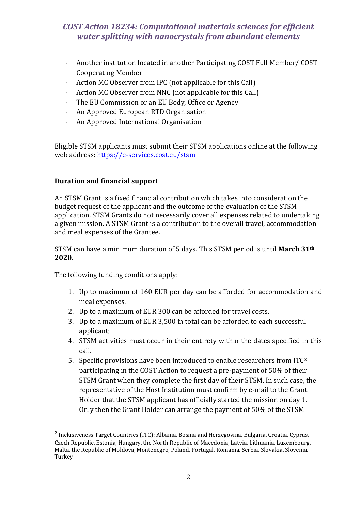- Another institution located in another Participating COST Full Member/ COST Cooperating Member
- Action MC Observer from IPC (not applicable for this Call)
- Action MC Observer from NNC (not applicable for this Call)
- The EU Commission or an EU Body, Office or Agency
- An Approved European RTD Organisation
- An Approved International Organisation

Eligible STSM applicants must submit their STSM applications online at the following web address:<https://e-services.cost.eu/stsm>

### **Duration and financial support**

An STSM Grant is a fixed financial contribution which takes into consideration the budget request of the applicant and the outcome of the evaluation of the STSM application. STSM Grants do not necessarily cover all expenses related to undertaking a given mission. A STSM Grant is a contribution to the overall travel, accommodation and meal expenses of the Grantee.

STSM can have a minimum duration of 5 days. This STSM period is until **March 31th 2020**.

The following funding conditions apply:

 $\overline{\phantom{a}}$ 

- 1. Up to maximum of 160 EUR per day can be afforded for accommodation and meal expenses.
- 2. Up to a maximum of EUR 300 can be afforded for travel costs.
- 3. Up to a maximum of EUR 3,500 in total can be afforded to each successful applicant;
- 4. STSM activities must occur in their entirety within the dates specified in this call.
- 5. Specific provisions have been introduced to enable researchers from ITC<sup>2</sup> participating in the COST Action to request a pre-payment of 50% of their STSM Grant when they complete the first day of their STSM. In such case, the representative of the Host Institution must confirm by e-mail to the Grant Holder that the STSM applicant has officially started the mission on day 1. Only then the Grant Holder can arrange the payment of 50% of the STSM

<sup>&</sup>lt;sup>2</sup> Inclusiveness Target Countries (ITC): Albania, Bosnia and Herzegovina, Bulgaria, Croatia, Cyprus, Czech Republic, Estonia, Hungary, the North Republic of Macedonia, Latvia, Lithuania, Luxembourg, Malta, the Republic of Moldova, Montenegro, Poland, Portugal, Romania, Serbia, Slovakia, Slovenia, Turkey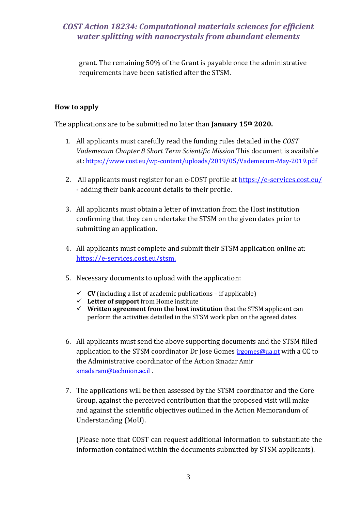grant. The remaining 50% of the Grant is payable once the administrative requirements have been satisfied after the STSM.

### **How to apply**

The applications are to be submitted no later than **January 15th 2020.**

- 1. All applicants must carefully read the funding rules detailed in the *COST Vademecum Chapter 8 Short Term Scientific Mission* This document is available at: <https://www.cost.eu/wp-content/uploads/2019/05/Vademecum-May-2019.pdf>
- 2. All applicants must register for an e-COST profile at<https://e-services.cost.eu/> - adding their bank account details to their profile.
- 3. All applicants must obtain a letter of invitation from the Host institution confirming that they can undertake the STSM on the given dates prior to submitting an application.
- 4. All applicants must complete and submit their STSM application online at: [https://e-services.cost.eu/stsm.](https://e-services.cost.eu/stsm)
- 5. Necessary documents to upload with the application:
	- $\checkmark$  **CV** (including a list of academic publications if applicable)
	- **Letter of support** from Home institute
	- **Written agreement from the host institution** that the STSM applicant can perform the activities detailed in the STSM work plan on the agreed dates.
- 6. All applicants must send the above supporting documents and the STSM filled application to the STSM coordinator Dr Jose Gomes *irgomes@ua.pt* with a CC to the Administrative coordinator of the Action Smadar Amir [smadaram@technion.ac.il](mailto:smadaram@technion.ac.il) .
- 7. The applications will be then assessed by the STSM coordinator and the Core Group, against the perceived contribution that the proposed visit will make and against the scientific objectives outlined in the Action Memorandum of Understanding (MoU).

(Please note that COST can request additional information to substantiate the information contained within the documents submitted by STSM applicants).